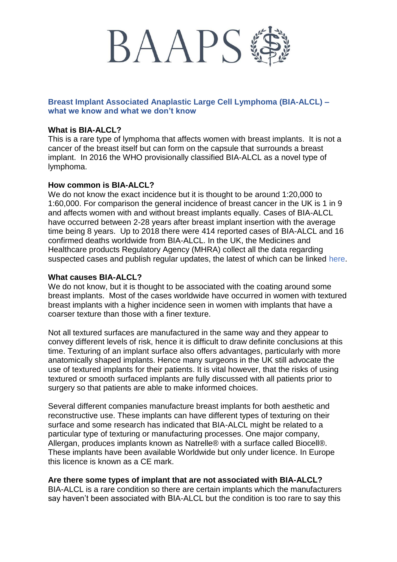

# **Breast Implant Associated Anaplastic Large Cell Lymphoma (BIA-ALCL) – what we know and what we don't know**

#### **What is BIA-ALCL?**

This is a rare type of lymphoma that affects women with breast implants. It is not a cancer of the breast itself but can form on the capsule that surrounds a breast implant. In 2016 the WHO provisionally classified BIA-ALCL as a novel type of lymphoma.

### **How common is BIA-ALCL?**

We do not know the exact incidence but it is thought to be around 1:20,000 to 1:60,000. For comparison the general incidence of breast cancer in the UK is 1 in 9 and affects women with and without breast implants equally. Cases of BIA-ALCL have occurred between 2-28 years after breast implant insertion with the average time being 8 years. Up to 2018 there were 414 reported cases of BIA-ALCL and 16 confirmed deaths worldwide from BIA-ALCL. In the UK, the Medicines and Healthcare products Regulatory Agency (MHRA) collect all the data regarding suspected cases and publish regular updates, the latest of which can be linked here.

### **What causes BIA-ALCL?**

We do not know, but it is thought to be associated with the coating around some breast implants. Most of the cases worldwide have occurred in women with textured breast implants with a higher incidence seen in women with implants that have a coarser texture than those with a finer texture.

Not all textured surfaces are manufactured in the same way and they appear to convey different levels of risk, hence it is difficult to draw definite conclusions at this time. Texturing of an implant surface also offers advantages, particularly with more anatomically shaped implants. Hence many surgeons in the UK still advocate the use of textured implants for their patients. It is vital however, that the risks of using textured or smooth surfaced implants are fully discussed with all patients prior to surgery so that patients are able to make informed choices.

Several different companies manufacture breast implants for both aesthetic and reconstructive use. These implants can have different types of texturing on their surface and some research has indicated that BIA-ALCL might be related to a particular type of texturing or manufacturing processes. One major company, Allergan, produces implants known as Natrelle® with a surface called Biocell®. These implants have been available Worldwide but only under licence. In Europe this licence is known as a CE mark.

#### **Are there some types of implant that are not associated with BIA-ALCL?**

BIA-ALCL is a rare condition so there are certain implants which the manufacturers say haven't been associated with BIA-ALCL but the condition is too rare to say this